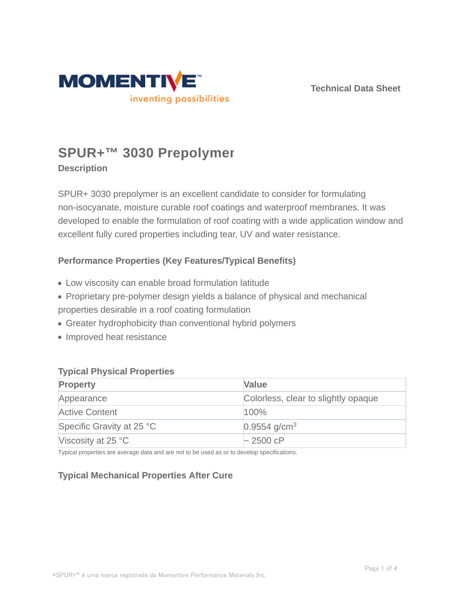

**Technical Data Sheet**

# **SPUR+™ 3030 Prepolymer**

# **Description**

SPUR+ 3030 prepolymer is an excellent candidate to consider for formulating non-isocyanate, moisture curable roof coatings and waterproof membranes. It was developed to enable the formulation of roof coating with a wide application window and excellent fully cured properties including tear, UV and water resistance.

# **Performance Properties (Key Features/Typical Benefits)**

- Low viscosity can enable broad formulation latitude
- Proprietary pre-polymer design yields a balance of physical and mechanical
- properties desirable in a roof coating formulation
- Greater hydrophobicity than conventional hybrid polymers
- Improved heat resistance

## **Typical Physical Properties**

| <b>Property</b>             | Value                               |
|-----------------------------|-------------------------------------|
| Appearance                  | Colorless, clear to slightly opaque |
| <b>Active Content</b>       | 100%                                |
| Specific Gravity at 25 °C   | $0.9554$ g/cm <sup>3</sup>          |
| Viscosity at 25 $\degree$ C | $\sim$ 2500 cP                      |

Typical properties are average data and are not to be used as or to develop specifications.

# **Typical Mechanical Properties After Cure**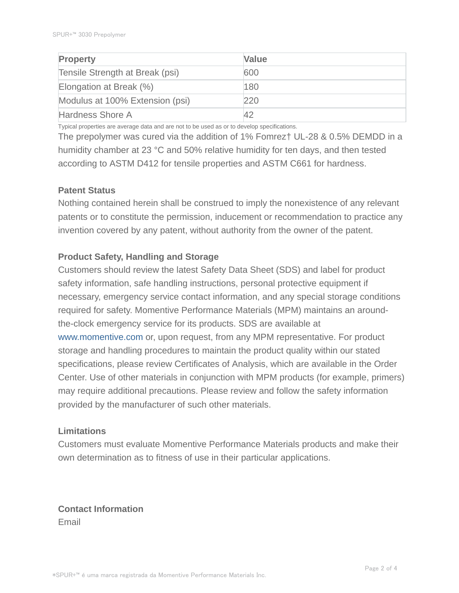| <b>Property</b>                 | <b>Value</b> |
|---------------------------------|--------------|
| Tensile Strength at Break (psi) | 600          |
| Elongation at Break (%)         | 180          |
| Modulus at 100% Extension (psi) | 220          |
| Hardness Shore A                |              |

Typical properties are average data and are not to be used as or to develop specifications.

The prepolymer was cured via the addition of 1% Fomrez† UL-28 & 0.5% DEMDD in a humidity chamber at 23 °C and 50% relative humidity for ten days, and then tested according to ASTM D412 for tensile properties and ASTM C661 for hardness.

## **Patent Status**

Nothing contained herein shall be construed to imply the nonexistence of any relevant patents or to constitute the permission, inducement or recommendation to practice any invention covered by any patent, without authority from the owner of the patent.

## **Product Safety, Handling and Storage**

Customers should review the latest Safety Data Sheet (SDS) and label for product safety information, safe handling instructions, personal protective equipment if necessary, emergency service contact information, and any special storage conditions required for safety. Momentive Performance Materials (MPM) maintains an aroundthe-clock emergency service for its products. SDS are available at www.momentive.com or, upon request, from any MPM representative. For product storage and handling procedures to maintain the product quality within our stated specifications, please review Certificates of Analysis, which are available in the Order Center. Use of other materials in conjunction with MPM products (for example, primers) may require additional precautions. Please review and follow the safety information provided by the manufacturer of such other materials.

## **Limitations**

Customers must evaluate Momentive Performance Materials products and make their own determination as to fitness of use in their particular applications.

**Contact Information** Email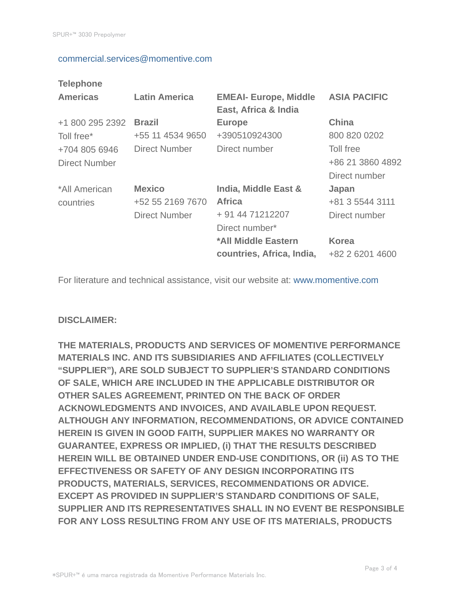#### commercial.services@momentive.com

# **Telephone**

| <b>Americas</b>                | <b>Latin America</b>                                      | <b>EMEAI- Europe, Middle</b><br>East, Africa & India                        | <b>ASIA PACIFIC</b>                            |
|--------------------------------|-----------------------------------------------------------|-----------------------------------------------------------------------------|------------------------------------------------|
| +1 800 295 2392<br>Toll free*  | <b>Brazil</b><br>+55 11 4534 9650                         | <b>Europe</b><br>+390510924300                                              | <b>China</b><br>800 820 0202                   |
| +704 805 6946<br>Direct Number | Direct Number                                             | Direct number                                                               | Toll free<br>+86 21 3860 4892<br>Direct number |
| *All American<br>countries     | <b>Mexico</b><br>+52 55 2169 7670<br><b>Direct Number</b> | India, Middle East &<br><b>Africa</b><br>+ 91 44 71212207<br>Direct number* | Japan<br>+81 3 5544 3111<br>Direct number      |
|                                |                                                           | *All Middle Eastern<br>countries, Africa, India,                            | <b>Korea</b><br>+82 2 6201 4600                |

For literature and technical assistance, visit our website at: www.momentive.com

## **DISCLAIMER:**

**THE MATERIALS, PRODUCTS AND SERVICES OF MOMENTIVE PERFORMANCE MATERIALS INC. AND ITS SUBSIDIARIES AND AFFILIATES (COLLECTIVELY "SUPPLIER"), ARE SOLD SUBJECT TO SUPPLIER'S STANDARD CONDITIONS OF SALE, WHICH ARE INCLUDED IN THE APPLICABLE DISTRIBUTOR OR OTHER SALES AGREEMENT, PRINTED ON THE BACK OF ORDER ACKNOWLEDGMENTS AND INVOICES, AND AVAILABLE UPON REQUEST. ALTHOUGH ANY INFORMATION, RECOMMENDATIONS, OR ADVICE CONTAINED HEREIN IS GIVEN IN GOOD FAITH, SUPPLIER MAKES NO WARRANTY OR GUARANTEE, EXPRESS OR IMPLIED, (i) THAT THE RESULTS DESCRIBED HEREIN WILL BE OBTAINED UNDER END-USE CONDITIONS, OR (ii) AS TO THE EFFECTIVENESS OR SAFETY OF ANY DESIGN INCORPORATING ITS PRODUCTS, MATERIALS, SERVICES, RECOMMENDATIONS OR ADVICE. EXCEPT AS PROVIDED IN SUPPLIER'S STANDARD CONDITIONS OF SALE, SUPPLIER AND ITS REPRESENTATIVES SHALL IN NO EVENT BE RESPONSIBLE FOR ANY LOSS RESULTING FROM ANY USE OF ITS MATERIALS, PRODUCTS**